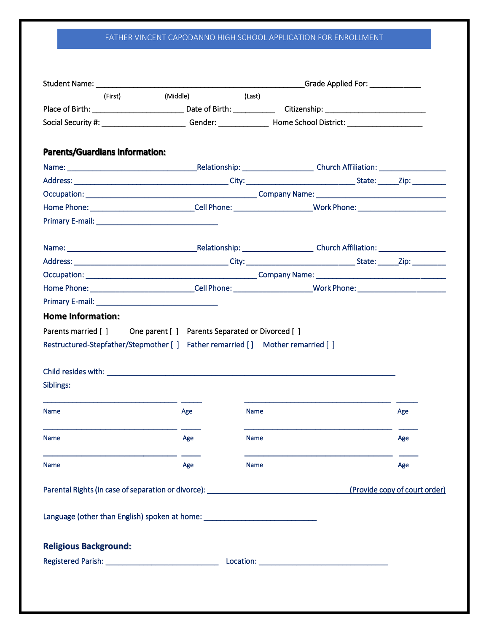## FATHER VINCENT CAPODANNO HIGH SCHOOL APPLICATION FOR ENROLLMENT

| (First) <b>State</b>                                                              |                 |             |                               |  |
|-----------------------------------------------------------------------------------|-----------------|-------------|-------------------------------|--|
|                                                                                   | (Middle) (Last) |             |                               |  |
|                                                                                   |                 |             |                               |  |
|                                                                                   |                 |             |                               |  |
| <b>Parents/Guardians Information:</b>                                             |                 |             |                               |  |
|                                                                                   |                 |             |                               |  |
|                                                                                   |                 |             |                               |  |
|                                                                                   |                 |             |                               |  |
|                                                                                   |                 |             |                               |  |
|                                                                                   |                 |             |                               |  |
|                                                                                   |                 |             |                               |  |
|                                                                                   |                 |             |                               |  |
|                                                                                   |                 |             |                               |  |
|                                                                                   |                 |             |                               |  |
|                                                                                   |                 |             |                               |  |
| <b>Home Information:</b>                                                          |                 |             |                               |  |
| Restructured-Stepfather/Stepmother [ ] Father remarried [ ] Mother remarried [ ]  |                 |             |                               |  |
|                                                                                   |                 |             |                               |  |
| Siblings:<br><b>Name</b>                                                          | Age             | <b>Name</b> | Age                           |  |
| <b>Name</b>                                                                       | Age             | <b>Name</b> | Age                           |  |
| Name                                                                              | Age             | Name        | Age                           |  |
| Parental Rights (in case of separation or divorce): _____________________________ |                 |             | (Provide copy of court order) |  |
| Language (other than English) spoken at home: __________________________________  |                 |             |                               |  |
| <b>Religious Background:</b>                                                      |                 |             |                               |  |
|                                                                                   |                 |             |                               |  |
|                                                                                   |                 |             |                               |  |